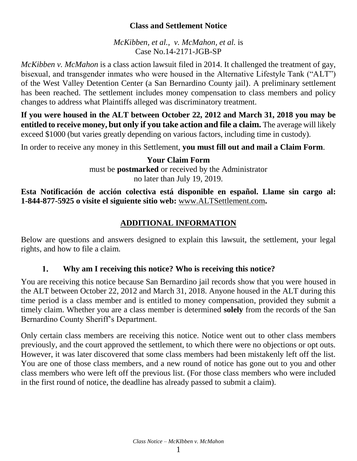# **Class and Settlement Notice**

*McKibben, et al., v. McMahon, et al.* is Case No.14-2171-JGB-SP

*McKibben v. McMahon* is a class action lawsuit filed in 2014. It challenged the treatment of gay, bisexual, and transgender inmates who were housed in the Alternative Lifestyle Tank ("ALT") of the West Valley Detention Center (a San Bernardino County jail). A preliminary settlement has been reached. The settlement includes money compensation to class members and policy changes to address what Plaintiffs alleged was discriminatory treatment.

**If you were housed in the ALT between October 22, 2012 and March 31, 2018 you may be entitled to receive money, but only if you take action and file a claim.** The average will likely exceed \$1000 (but varies greatly depending on various factors, including time in custody).

In order to receive any money in this Settlement, **you must fill out and mail a Claim Form**.

**Your Claim Form** must be **postmarked** or received by the Administrator no later than July 19, 2019.

**Esta Notificación de acción colectiva está disponible en español. Llame sin cargo al: 1-844-877-5925 o visite el siguiente sitio web:** www.ALTSettlement.com**.**

# **ADDITIONAL INFORMATION**

Below are questions and answers designed to explain this lawsuit, the settlement, your legal rights, and how to file a claim.

### 1. **Why am I receiving this notice? Who is receiving this notice?**

You are receiving this notice because San Bernardino jail records show that you were housed in the ALT between October 22, 2012 and March 31, 2018. Anyone housed in the ALT during this time period is a class member and is entitled to money compensation, provided they submit a timely claim. Whether you are a class member is determined **solely** from the records of the San Bernardino County Sheriff's Department.

Only certain class members are receiving this notice. Notice went out to other class members previously, and the court approved the settlement, to which there were no objections or opt outs. However, it was later discovered that some class members had been mistakenly left off the list. You are one of those class members, and a new round of notice has gone out to you and other class members who were left off the previous list. (For those class members who were included in the first round of notice, the deadline has already passed to submit a claim).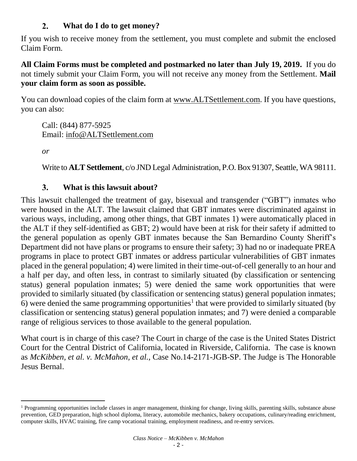### **What do I do to get money?**  $2.$

If you wish to receive money from the settlement, you must complete and submit the enclosed Claim Form.

**All Claim Forms must be completed and postmarked no later than July 19, 2019.** If you do not timely submit your Claim Form, you will not receive any money from the Settlement. **Mail your claim form as soon as possible.**

You can download copies of the claim form at www.ALTSettlement.com. If you have questions, you can also:

Call: (844) 877-5925 Email: info@ALTSettlement.com

*or*

l

Write to **ALT Settlement**, c/o JND Legal Administration, P.O. Box 91307, Seattle, WA 98111.

### **What is this lawsuit about?**  $3.$

This lawsuit challenged the treatment of gay, bisexual and transgender ("GBT") inmates who were housed in the ALT. The lawsuit claimed that GBT inmates were discriminated against in various ways, including, among other things, that GBT inmates 1) were automatically placed in the ALT if they self-identified as GBT; 2) would have been at risk for their safety if admitted to the general population as openly GBT inmates because the San Bernardino County Sheriff's Department did not have plans or programs to ensure their safety; 3) had no or inadequate PREA programs in place to protect GBT inmates or address particular vulnerabilities of GBT inmates placed in the general population; 4) were limited in their time-out-of-cell generally to an hour and a half per day, and often less, in contrast to similarly situated (by classification or sentencing status) general population inmates; 5) were denied the same work opportunities that were provided to similarly situated (by classification or sentencing status) general population inmates; 6) were denied the same programming opportunities<sup>1</sup> that were provided to similarly situated (by classification or sentencing status) general population inmates; and 7) were denied a comparable range of religious services to those available to the general population.

What court is in charge of this case? The Court in charge of the case is the United States District Court for the Central District of California, located in Riverside, California. The case is known as *McKibben, et al. v. McMahon, et al.,* Case No.14-2171-JGB-SP. The Judge is The Honorable Jesus Bernal.

<sup>&</sup>lt;sup>1</sup> Programming opportunities include classes in anger management, thinking for change, living skills, parenting skills, substance abuse prevention, GED preparation, high school diploma, literacy, automobile mechanics, bakery occupations, culinary/reading enrichment, computer skills, HVAC training, fire camp vocational training, employment readiness, and re-entry services.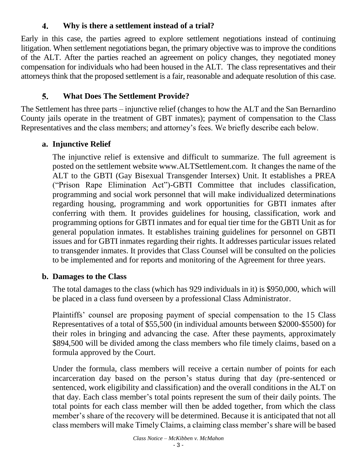### $\overline{4}$ . **Why is there a settlement instead of a trial?**

Early in this case, the parties agreed to explore settlement negotiations instead of continuing litigation. When settlement negotiations began, the primary objective was to improve the conditions of the ALT. After the parties reached an agreement on policy changes, they negotiated money compensation for individuals who had been housed in the ALT. The class representatives and their attorneys think that the proposed settlement is a fair, reasonable and adequate resolution of this case.

## 5. **What Does The Settlement Provide?**

The Settlement has three parts – injunctive relief (changes to how the ALT and the San Bernardino County jails operate in the treatment of GBT inmates); payment of compensation to the Class Representatives and the class members; and attorney's fees. We briefly describe each below.

# **a. Injunctive Relief**

The injunctive relief is extensive and difficult to summarize. The full agreement is posted on the settlement website www.ALTSettlement.com. It changes the name of the ALT to the GBTI (Gay Bisexual Transgender Intersex) Unit. It establishes a PREA ("Prison Rape Elimination Act")-GBTI Committee that includes classification, programming and social work personnel that will make individualized determinations regarding housing, programming and work opportunities for GBTI inmates after conferring with them. It provides guidelines for housing, classification, work and programming options for GBTI inmates and for equal tier time for the GBTI Unit as for general population inmates. It establishes training guidelines for personnel on GBTI issues and for GBTI inmates regarding their rights. It addresses particular issues related to transgender inmates. It provides that Class Counsel will be consulted on the policies to be implemented and for reports and monitoring of the Agreement for three years.

# **b. Damages to the Class**

The total damages to the class (which has 929 individuals in it) is \$950,000, which will be placed in a class fund overseen by a professional Class Administrator.

Plaintiffs' counsel are proposing payment of special compensation to the 15 Class Representatives of a total of \$55,500 (in individual amounts between \$2000-\$5500) for their roles in bringing and advancing the case. After these payments, approximately \$894,500 will be divided among the class members who file timely claims, based on a formula approved by the Court.

Under the formula, class members will receive a certain number of points for each incarceration day based on the person's status during that day (pre-sentenced or sentenced, work eligibility and classification) and the overall conditions in the ALT on that day. Each class member's total points represent the sum of their daily points. The total points for each class member will then be added together, from which the class member's share of the recovery will be determined. Because it is anticipated that not all class members will make Timely Claims, a claiming class member's share will be based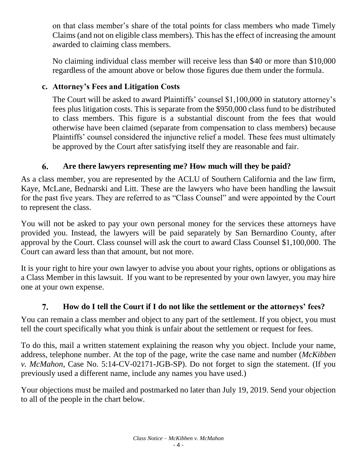on that class member's share of the total points for class members who made Timely Claims (and not on eligible class members). This has the effect of increasing the amount awarded to claiming class members.

No claiming individual class member will receive less than \$40 or more than \$10,000 regardless of the amount above or below those figures due them under the formula.

# **c. Attorney's Fees and Litigation Costs**

The Court will be asked to award Plaintiffs' counsel \$1,100,000 in statutory attorney's fees plus litigation costs. This is separate from the \$950,000 class fund to be distributed to class members. This figure is a substantial discount from the fees that would otherwise have been claimed (separate from compensation to class members) because Plaintiffs' counsel considered the injunctive relief a model. These fees must ultimately be approved by the Court after satisfying itself they are reasonable and fair.

## 6. **Are there lawyers representing me? How much will they be paid?**

As a class member, you are represented by the ACLU of Southern California and the law firm, Kaye, McLane, Bednarski and Litt. These are the lawyers who have been handling the lawsuit for the past five years. They are referred to as "Class Counsel" and were appointed by the Court to represent the class.

You will not be asked to pay your own personal money for the services these attorneys have provided you. Instead, the lawyers will be paid separately by San Bernardino County, after approval by the Court. Class counsel will ask the court to award Class Counsel \$1,100,000. The Court can award less than that amount, but not more.

It is your right to hire your own lawyer to advise you about your rights, options or obligations as a Class Member in this lawsuit. If you want to be represented by your own lawyer, you may hire one at your own expense.

## 7. **How do I tell the Court if I do not like the settlement or the attorneys' fees?**

You can remain a class member and object to any part of the settlement. If you object, you must tell the court specifically what you think is unfair about the settlement or request for fees.

To do this, mail a written statement explaining the reason why you object. Include your name, address, telephone number. At the top of the page, write the case name and number (*McKibben v. McMahon*, Case No. 5:14-CV-02171-JGB-SP). Do not forget to sign the statement. (If you previously used a different name, include any names you have used.)

Your objections must be mailed and postmarked no later than July 19, 2019. Send your objection to all of the people in the chart below.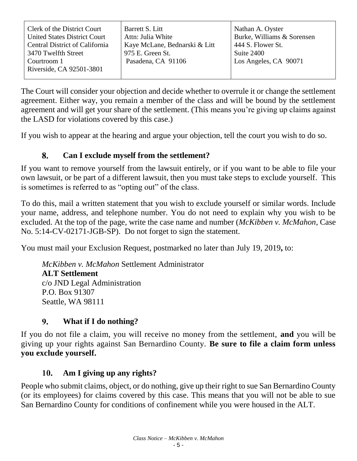| Clerk of the District Court           | Barrett S. Litt               | Nathan A. Oyster           |
|---------------------------------------|-------------------------------|----------------------------|
| <b>United States District Court</b>   | Attn: Julia White             | Burke, Williams & Sorensen |
| <b>Central District of California</b> | Kaye McLane, Bednarski & Litt | 444 S. Flower St.          |
| 3470 Twelfth Street                   | 975 E. Green St.              | Suite 2400                 |
| Courtroom 1                           | Pasadena, CA 91106            | Los Angeles, CA 90071      |
| Riverside, CA 92501-3801              |                               |                            |
|                                       |                               |                            |

The Court will consider your objection and decide whether to overrule it or change the settlement agreement. Either way, you remain a member of the class and will be bound by the settlement agreement and will get your share of the settlement. (This means you're giving up claims against the LASD for violations covered by this case.)

If you wish to appear at the hearing and argue your objection, tell the court you wish to do so.

### 8. **Can I exclude myself from the settlement?**

If you want to remove yourself from the lawsuit entirely, or if you want to be able to file your own lawsuit, or be part of a different lawsuit, then you must take steps to exclude yourself. This is sometimes is referred to as "opting out" of the class.

To do this, mail a written statement that you wish to exclude yourself or similar words. Include your name, address, and telephone number. You do not need to explain why you wish to be excluded. At the top of the page, write the case name and number (*McKibben v. McMahon*, Case No. 5:14-CV-02171-JGB-SP). Do not forget to sign the statement.

You must mail your Exclusion Request, postmarked no later than July 19, 2019**,** to:

*McKibben v. McMahon* Settlement Administrator **ALT Settlement** c/o JND Legal Administration P.O. Box 91307 Seattle, WA 98111

### 9. **What if I do nothing?**

If you do not file a claim, you will receive no money from the settlement, **and** you will be giving up your rights against San Bernardino County. **Be sure to file a claim form unless you exclude yourself.**

### **Am I giving up any rights?** 10.

People who submit claims, object, or do nothing, give up their right to sue San Bernardino County (or its employees) for claims covered by this case. This means that you will not be able to sue San Bernardino County for conditions of confinement while you were housed in the ALT.